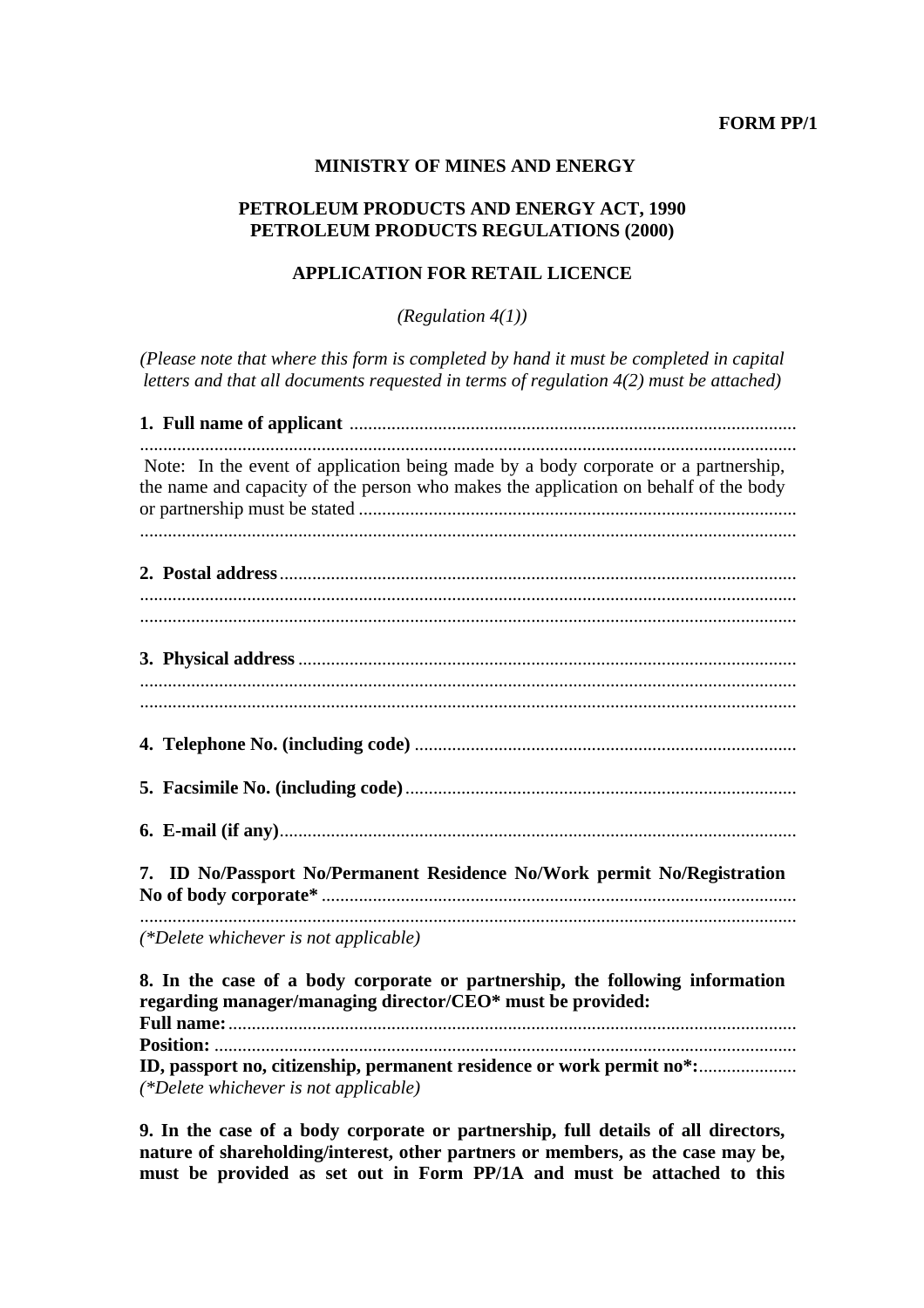**FORM PP/1** 

#### **MINISTRY OF MINES AND ENERGY**

## **PETROLEUM PRODUCTS AND ENERGY ACT, 1990 PETROLEUM PRODUCTS REGULATIONS (2000)**

## **APPLICATION FOR RETAIL LICENCE**

*(Regulation 4(1))* 

*(Please note that where this form is completed by hand it must be completed in capital letters and that all documents requested in terms of regulation 4(2) must be attached)* 

**1. Full name of applicant** ................................................................................................ ............................................................................................................................................. Note: In the event of application being made by a body corporate or a partnership, the name and capacity of the person who makes the application on behalf of the body or partnership must be stated .............................................................................................. ............................................................................................................................................. **2. Postal address**............................................................................................................... ............................................................................................................................................. ............................................................................................................................................. **3. Physical address**........................................................................................................... ............................................................................................................................................. ............................................................................................................................................. **4. Telephone No. (including code)** .................................................................................. **5. Facsimile No. (including code)**.................................................................................... **6. E-mail (if any)**............................................................................................................... **7. ID No/Passport No/Permanent Residence No/Work permit No/Registration No of body corporate\*** ...................................................................................................... ............................................................................................................................................. *(\*Delete whichever is not applicable)*  **8. In the case of a body corporate or partnership, the following information** 

**regarding manager/managing director/CEO\* must be provided: Full name:**.......................................................................................................................... **Position:** ............................................................................................................................. **ID, passport no, citizenship, permanent residence or work permit no\*:**..................... *(\*Delete whichever is not applicable)* 

**9. In the case of a body corporate or partnership, full details of all directors, nature of shareholding/interest, other partners or members, as the case may be, must be provided as set out in Form PP/1A and must be attached to this**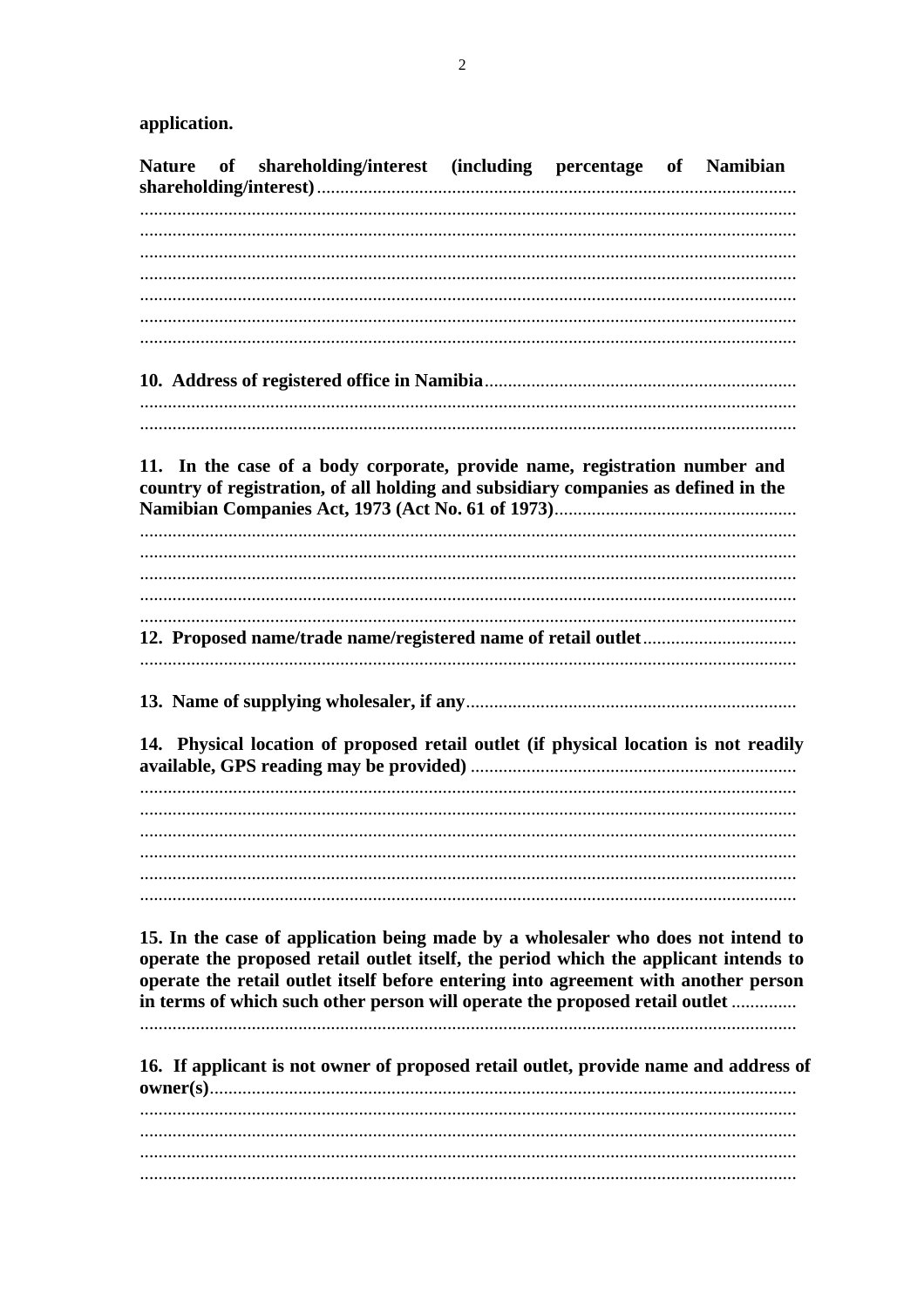application.

**Nature** shareholding/interest *(including)* of percentage of Namibian 11. In the case of a body corporate, provide name, registration number and country of registration, of all holding and subsidiary companies as defined in the 14. Physical location of proposed retail outlet (if physical location is not readily 15. In the case of application being made by a wholesaler who does not intend to operate the proposed retail outlet itself, the period which the applicant intends to operate the retail outlet itself before entering into agreement with another person in terms of which such other person will operate the proposed retail outlet ............. 16. If applicant is not owner of proposed retail outlet, provide name and address of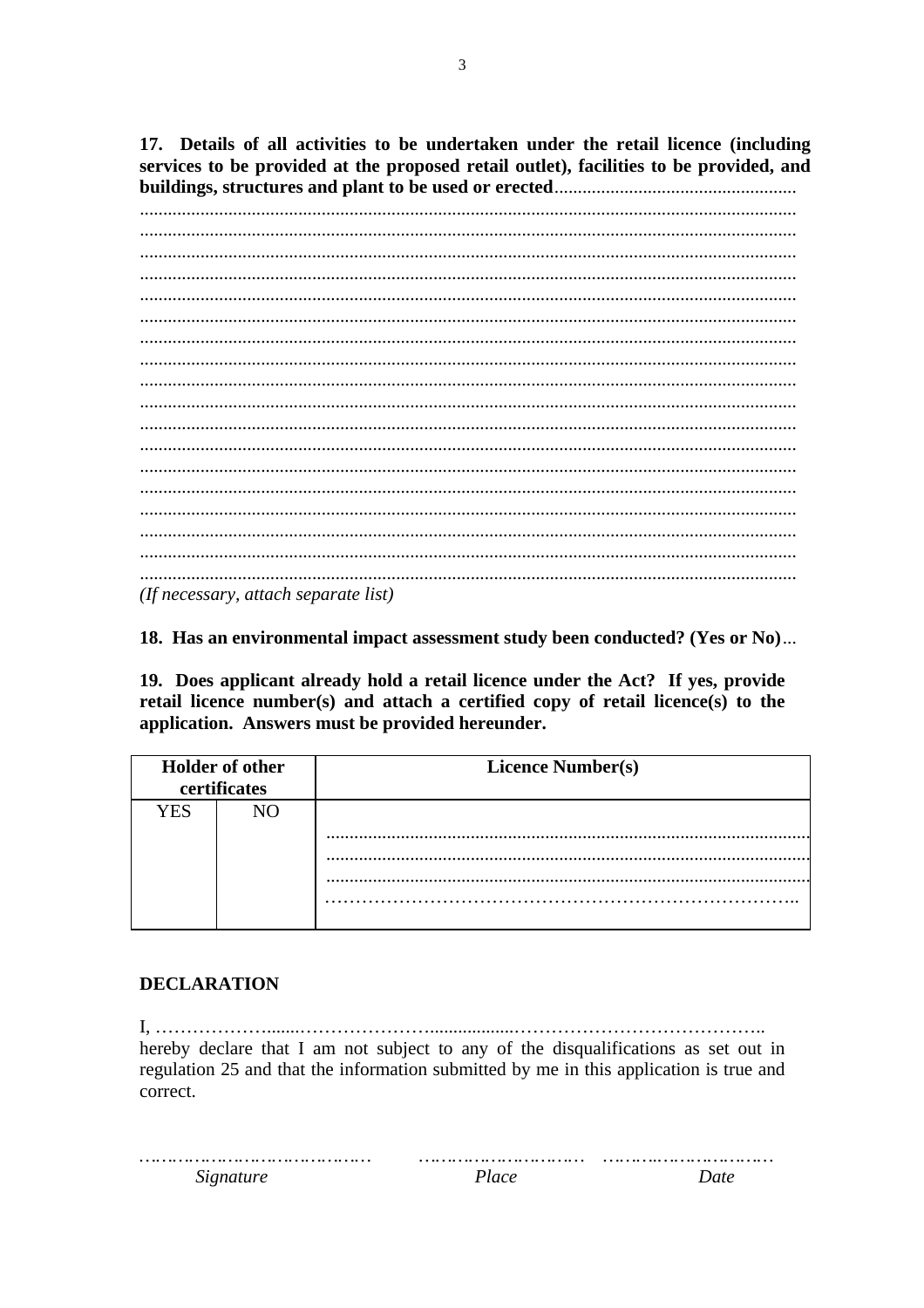17. Details of all activities to be undertaken under the retail licence (including services to be provided at the proposed retail outlet), facilities to be provided, and 

(If necessary, attach separate list)

18. Has an environmental impact assessment study been conducted? (Yes or No)...

19. Does applicant already hold a retail licence under the Act? If yes, provide retail licence number(s) and attach a certified copy of retail licence(s) to the application. Answers must be provided hereunder.

| <b>Holder</b> of other<br>certificates |    | <b>Licence Number(s)</b> |  |  |  |
|----------------------------------------|----|--------------------------|--|--|--|
| <b>YES</b>                             | NΩ |                          |  |  |  |
|                                        |    |                          |  |  |  |

# **DECLARATION**

hereby declare that I am not subject to any of the disqualifications as set out in regulation 25 and that the information submitted by me in this application is true and correct.

Signature

Date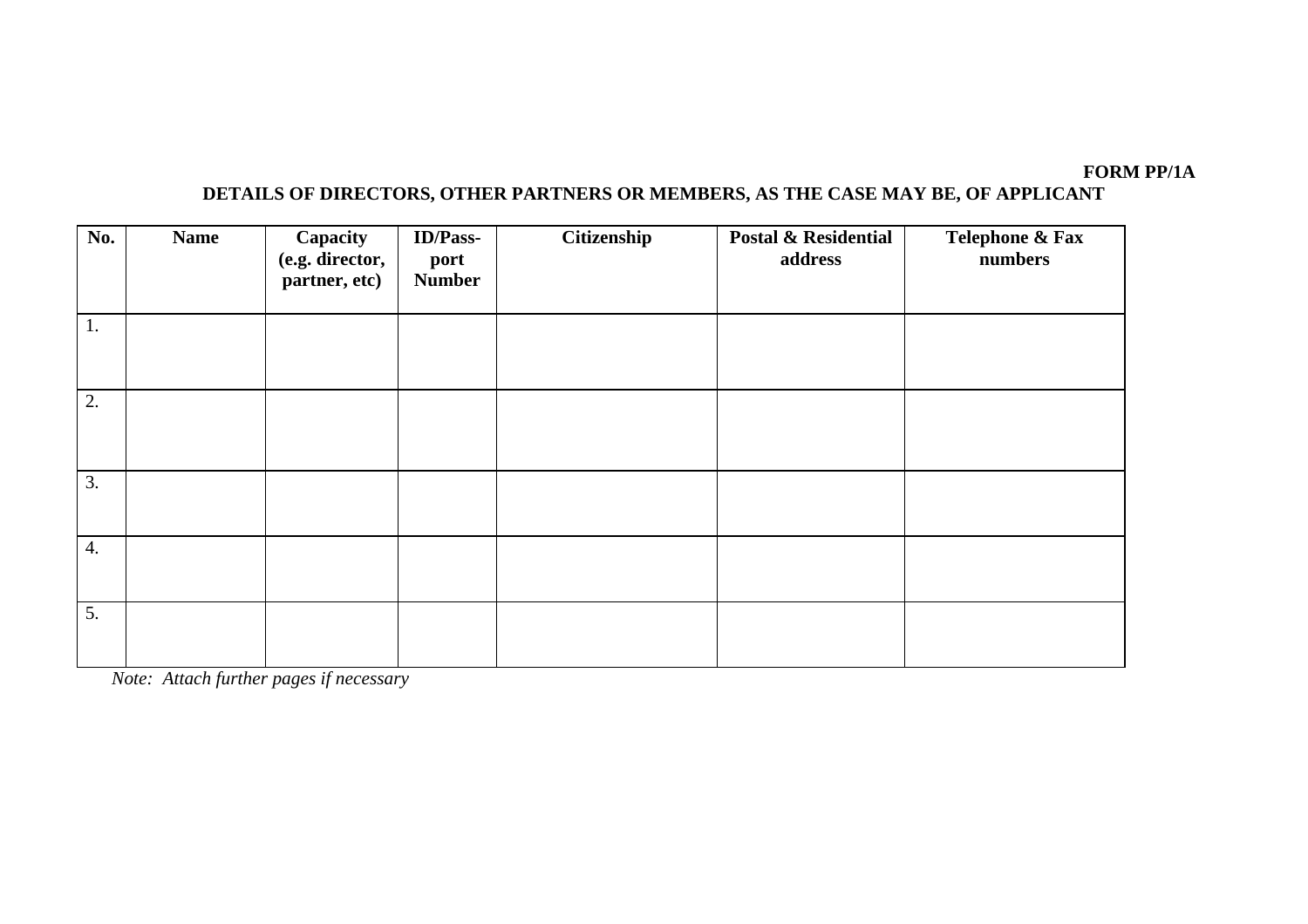#### **FORM PP/1A**

# **DETAILS OF DIRECTORS, OTHER PARTNERS OR MEMBERS, AS THE CASE MAY BE, OF APPLICANT**

| No.              | <b>Name</b> | Capacity<br>(e.g. director,<br>partner, etc) | <b>ID/Pass-</b><br>port<br><b>Number</b> | Citizenship | <b>Postal &amp; Residential</b><br>address | Telephone & Fax<br>numbers |
|------------------|-------------|----------------------------------------------|------------------------------------------|-------------|--------------------------------------------|----------------------------|
| 1.               |             |                                              |                                          |             |                                            |                            |
| 2.               |             |                                              |                                          |             |                                            |                            |
| 3.               |             |                                              |                                          |             |                                            |                            |
| $\overline{4}$ . |             |                                              |                                          |             |                                            |                            |
| 5.               |             |                                              |                                          |             |                                            |                            |

*Note: Attach further pages if necessary*